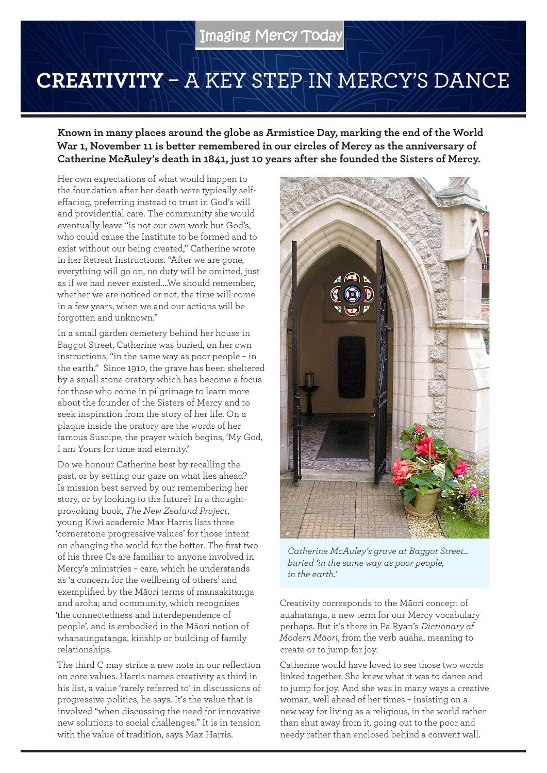## **CREATIVITY** – A KEY STEP IN MERCY'S DANCE

**Known in many places around the globe as Armistice Day, marking the end of the World War 1, November 11 is better remembered in our circles of Mercy as the anniversary of Catherine McAuley's death in 1841, just 10 years after she founded the Sisters of Mercy.**

Her own expectations of what would happen to the foundation after her death were typically selfeffacing, preferring instead to trust in God's will and providential care. The community she would eventually leave "is not our own work but God's, who could cause the Institute to be formed and to exist without our being created," Catherine wrote in her Retreat Instructions. "After we are gone, everything will go on, no duty will be omitted, just as if we had never existed….We should remember, whether we are noticed or not, the time will come in a few years, when we and our actions will be forgotten and unknown."

In a small garden cemetery behind her house in Baggot Street, Catherine was buried, on her own instructions, "in the same way as poor people – in the earth." Since 1910, the grave has been sheltered by a small stone oratory which has become a focus for those who come in pilgrimage to learn more about the founder of the Sisters of Mercy and to seek inspiration from the story of her life. On a plaque inside the oratory are the words of her famous Suscipe, the prayer which begins, 'My God, I am Yours for time and eternity.'

Do we honour Catherine best by recalling the past, or by setting our gaze on what lies ahead? Is mission best served by our remembering her story, or by looking to the future? In a thoughtprovoking book, *The New Zealand Project*, young Kiwi academic Max Harris lists three 'cornerstone progressive values' for those intent on changing the world for the better. The first two of his three Cs are familiar to anyone involved in Mercy's ministries – care, which he understands as 'a concern for the wellbeing of others' and exemplified by the Māori terms of manaakitanga and aroha; and community, which recognises 'the connectedness and interdependence of people', and is embodied in the Māori notion of whanaungatanga, kinship or building of family relationships.

The third C may strike a new note in our reflection on core values. Harris names creativity as third in his list, a value 'rarely referred to' in discussions of progressive politics, he says. It's the value that is involved "when discussing the need for innovative new solutions to social challenges." It is in tension with the value of tradition, says Max Harris.



*Catherine McAuley's grave at Baggot Street… buried 'in the same way as poor people, in the earth.'*

Creativity corresponds to the Māori concept of auahatanga, a new term for our Mercy vocabulary perhaps. But it's there in Pa Ryan's *Dictionary of Modern Māori*, from the verb auaha, meaning to create or to jump for joy.

Catherine would have loved to see those two words linked together. She knew what it was to dance and to jump for joy. And she was in many ways a creative woman, well ahead of her times – insisting on a new way for living as a religious, in the world rather than shut away from it, going out to the poor and needy rather than enclosed behind a convent wall.